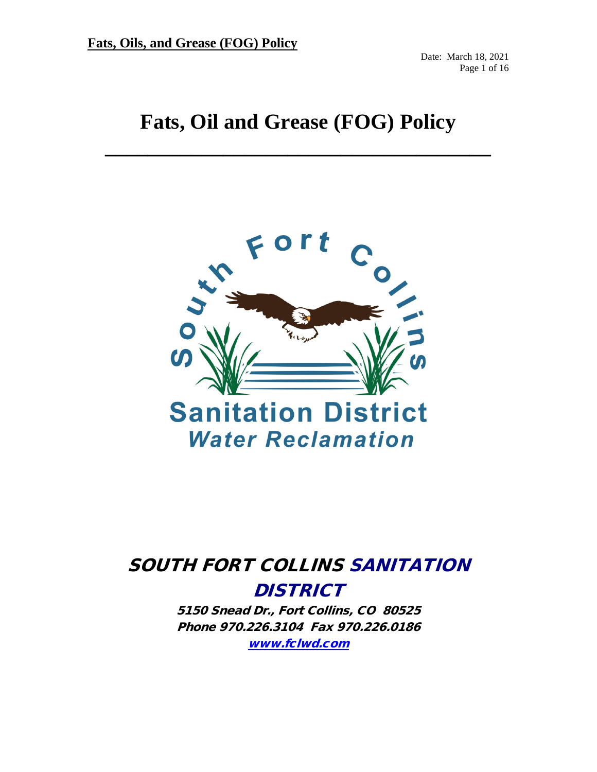Date: March 18, 2021 Page 1 of 16

# **Fats, Oil and Grease (FOG) Policy**

**\_\_\_\_\_\_\_\_\_\_\_\_\_\_\_\_\_\_\_\_\_\_\_\_\_\_\_\_\_\_\_\_\_\_\_\_**



# SOUTH FORT COLLINS SANITATION **DISTRICT**

5150 Snead Dr., Fort Collins, CO 80525 Phone 970.226.3104 Fax 970.226.0186 [www.fclwd.com](http://www.fclwd.com/)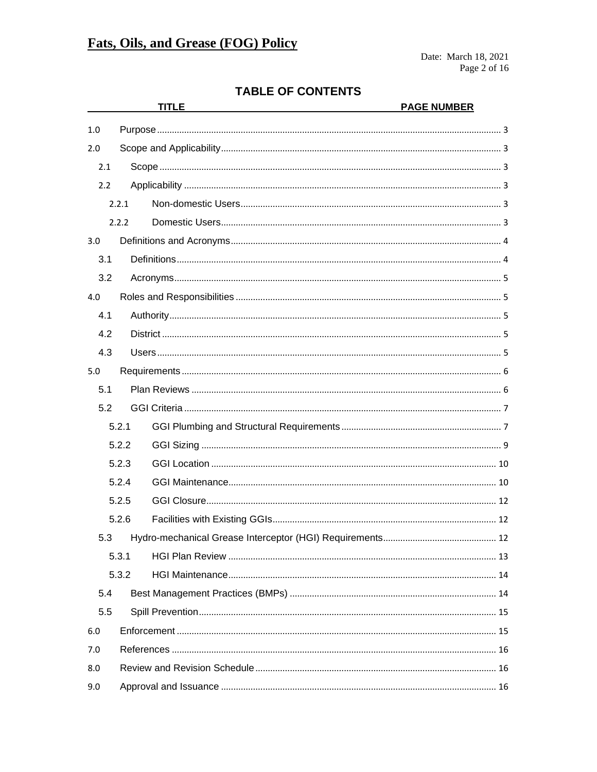# **TABLE OF CONTENTS**

|       |       | <b>TITLE</b> | <b>PAGE NUMBER</b> |  |
|-------|-------|--------------|--------------------|--|
| 1.0   |       |              |                    |  |
| 2.0   |       |              |                    |  |
| 2.1   |       |              |                    |  |
| 2.2   |       |              |                    |  |
|       | 2.2.1 |              |                    |  |
| 2.2.2 |       |              |                    |  |
| 3.0   |       |              |                    |  |
| 3.1   |       |              |                    |  |
| 3.2   |       |              |                    |  |
| 4.0   |       |              |                    |  |
| 4.1   |       |              |                    |  |
| 4.2   |       |              |                    |  |
| 4.3   |       |              |                    |  |
| 5.0   |       |              |                    |  |
| 5.1   |       |              |                    |  |
| 5.2   |       |              |                    |  |
|       | 5.2.1 |              |                    |  |
|       | 5.2.2 |              |                    |  |
|       | 5.2.3 |              |                    |  |
|       | 5.2.4 |              |                    |  |
|       | 5.2.5 |              |                    |  |
|       | 5.2.6 |              |                    |  |
|       |       |              |                    |  |
|       | 5.3.1 |              |                    |  |
|       | 5.3.2 |              |                    |  |
| 5.4   |       |              |                    |  |
| 5.5   |       |              |                    |  |
| 6.0   |       |              |                    |  |
| 7.0   |       |              |                    |  |
| 8.0   |       |              |                    |  |
| 9.0   |       |              |                    |  |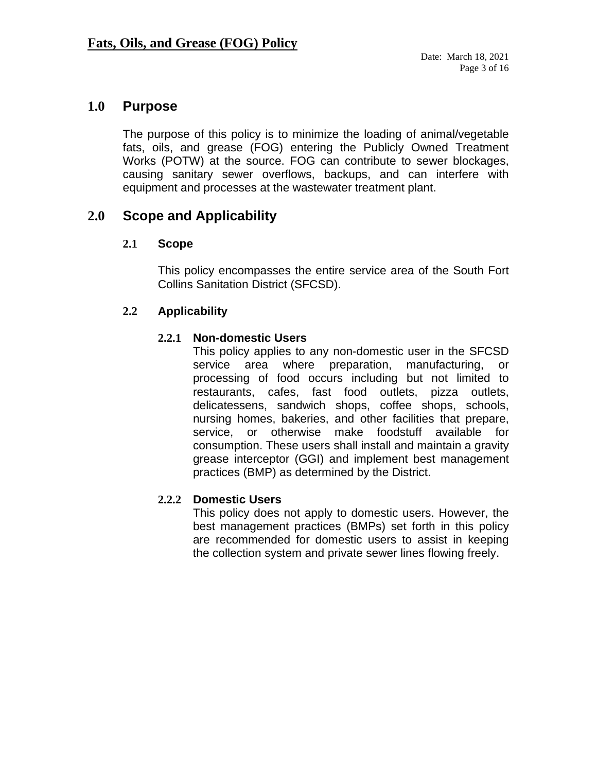# <span id="page-2-0"></span>**1.0 Purpose**

The purpose of this policy is to minimize the loading of animal/vegetable fats, oils, and grease (FOG) entering the Publicly Owned Treatment Works (POTW) at the source. FOG can contribute to sewer blockages, causing sanitary sewer overflows, backups, and can interfere with equipment and processes at the wastewater treatment plant.

# <span id="page-2-2"></span><span id="page-2-1"></span>**2.0 Scope and Applicability**

#### **2.1 Scope**

This policy encompasses the entire service area of the South Fort Collins Sanitation District (SFCSD).

#### <span id="page-2-4"></span><span id="page-2-3"></span>**2.2 Applicability**

#### **2.2.1 Non-domestic Users**

This policy applies to any non-domestic user in the SFCSD service area where preparation, manufacturing, or processing of food occurs including but not limited to restaurants, cafes, fast food outlets, pizza outlets, delicatessens, sandwich shops, coffee shops, schools, nursing homes, bakeries, and other facilities that prepare, service, or otherwise make foodstuff available for consumption. These users shall install and maintain a gravity grease interceptor (GGI) and implement best management practices (BMP) as determined by the District.

#### <span id="page-2-5"></span>**2.2.2 Domestic Users**

This policy does not apply to domestic users. However, the best management practices (BMPs) set forth in this policy are recommended for domestic users to assist in keeping the collection system and private sewer lines flowing freely.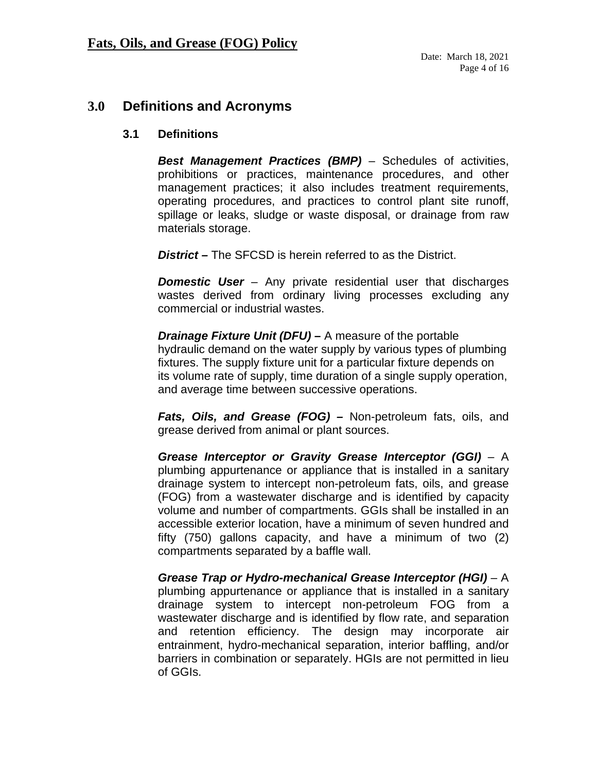# <span id="page-3-1"></span><span id="page-3-0"></span>**3.0 Definitions and Acronyms**

#### **3.1 Definitions**

*Best Management Practices (BMP)* – Schedules of activities, prohibitions or practices, maintenance procedures, and other management practices; it also includes treatment requirements, operating procedures, and practices to control plant site runoff, spillage or leaks, sludge or waste disposal, or drainage from raw materials storage.

*District –* The SFCSD is herein referred to as the District.

*Domestic User –* Any private residential user that discharges wastes derived from ordinary living processes excluding any commercial or industrial wastes.

*Drainage Fixture Unit (DFU)* **–** A measure of the portable hydraulic demand on the water supply by various types of plumbing fixtures. The supply fixture unit for a particular fixture depends on its volume rate of supply, time duration of a single supply operation, and average time between successive operations.

*Fats, Oils, and Grease (FOG) –* Non-petroleum fats, oils, and grease derived from animal or plant sources.

*Grease Interceptor or Gravity Grease Interceptor (GGI)* – A plumbing appurtenance or appliance that is installed in a sanitary drainage system to intercept non-petroleum fats, oils, and grease (FOG) from a wastewater discharge and is identified by capacity volume and number of compartments. GGIs shall be installed in an accessible exterior location, have a minimum of seven hundred and fifty (750) gallons capacity, and have a minimum of two (2) compartments separated by a baffle wall.

*Grease Trap or Hydro-mechanical Grease Interceptor (HGI)* – A plumbing appurtenance or appliance that is installed in a sanitary drainage system to intercept non-petroleum FOG from a wastewater discharge and is identified by flow rate, and separation and retention efficiency. The design may incorporate air entrainment, hydro-mechanical separation, interior baffling, and/or barriers in combination or separately. HGIs are not permitted in lieu of GGIs.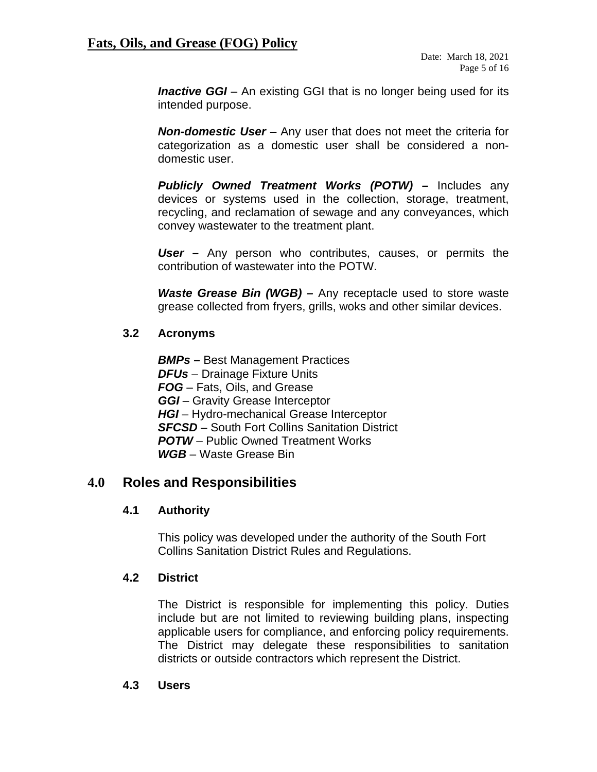*Inactive GGI* – An existing GGI that is no longer being used for its intended purpose.

*Non-domestic User* – Any user that does not meet the criteria for categorization as a domestic user shall be considered a nondomestic user.

*Publicly Owned Treatment Works (POTW) –* Includes any devices or systems used in the collection, storage, treatment, recycling, and reclamation of sewage and any conveyances, which convey wastewater to the treatment plant.

*User –* Any person who contributes, causes, or permits the contribution of wastewater into the POTW.

*Waste Grease Bin (WGB) –* Any receptacle used to store waste grease collected from fryers, grills, woks and other similar devices.

#### <span id="page-4-0"></span>**3.2 Acronyms**

*BMPs –* Best Management Practices *DFUs* – Drainage Fixture Units *FOG* – Fats, Oils, and Grease *GGI* – Gravity Grease Interceptor **HGI** – Hydro-mechanical Grease Interceptor *SFCSD* – South Fort Collins Sanitation District *POTW* – Public Owned Treatment Works *WGB* – Waste Grease Bin

## <span id="page-4-2"></span><span id="page-4-1"></span>**4.0 Roles and Responsibilities**

#### **4.1 Authority**

This policy was developed under the authority of the South Fort Collins Sanitation District Rules and Regulations.

#### <span id="page-4-3"></span>**4.2 District**

The District is responsible for implementing this policy. Duties include but are not limited to reviewing building plans, inspecting applicable users for compliance, and enforcing policy requirements. The District may delegate these responsibilities to sanitation districts or outside contractors which represent the District.

#### <span id="page-4-4"></span>**4.3 Users**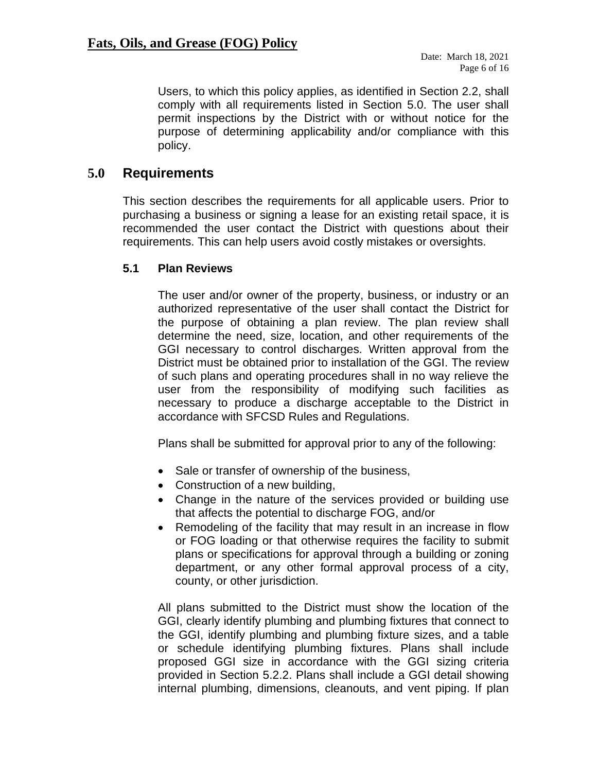Users, to which this policy applies, as identified in Section 2.2, shall comply with all requirements listed in Section 5.0. The user shall permit inspections by the District with or without notice for the purpose of determining applicability and/or compliance with this policy.

# <span id="page-5-0"></span>**5.0 Requirements**

This section describes the requirements for all applicable users. Prior to purchasing a business or signing a lease for an existing retail space, it is recommended the user contact the District with questions about their requirements. This can help users avoid costly mistakes or oversights.

#### <span id="page-5-1"></span>**5.1 Plan Reviews**

The user and/or owner of the property, business, or industry or an authorized representative of the user shall contact the District for the purpose of obtaining a plan review. The plan review shall determine the need, size, location, and other requirements of the GGI necessary to control discharges. Written approval from the District must be obtained prior to installation of the GGI. The review of such plans and operating procedures shall in no way relieve the user from the responsibility of modifying such facilities as necessary to produce a discharge acceptable to the District in accordance with SFCSD Rules and Regulations.

Plans shall be submitted for approval prior to any of the following:

- Sale or transfer of ownership of the business,
- Construction of a new building,
- Change in the nature of the services provided or building use that affects the potential to discharge FOG, and/or
- Remodeling of the facility that may result in an increase in flow or FOG loading or that otherwise requires the facility to submit plans or specifications for approval through a building or zoning department, or any other formal approval process of a city, county, or other jurisdiction.

All plans submitted to the District must show the location of the GGI, clearly identify plumbing and plumbing fixtures that connect to the GGI, identify plumbing and plumbing fixture sizes, and a table or schedule identifying plumbing fixtures. Plans shall include proposed GGI size in accordance with the GGI sizing criteria provided in Section 5.2.2. Plans shall include a GGI detail showing internal plumbing, dimensions, cleanouts, and vent piping. If plan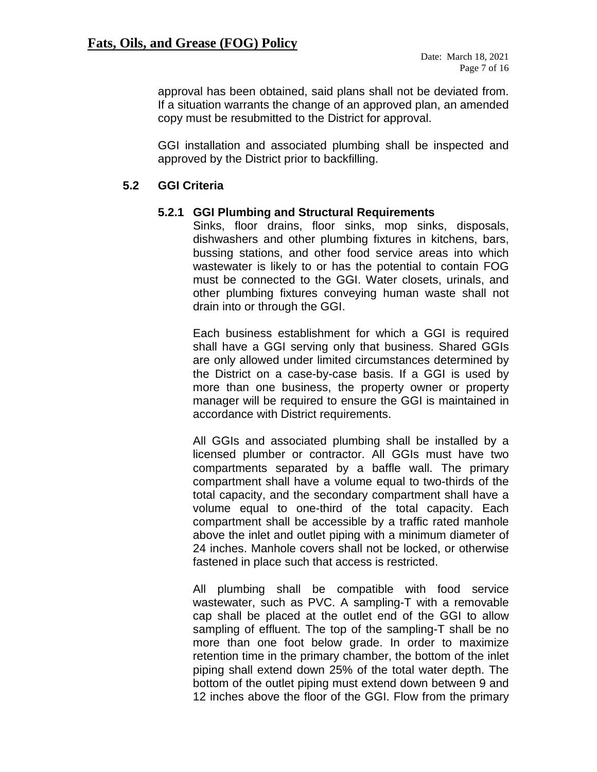approval has been obtained, said plans shall not be deviated from. If a situation warrants the change of an approved plan, an amended copy must be resubmitted to the District for approval.

GGI installation and associated plumbing shall be inspected and approved by the District prior to backfilling.

## <span id="page-6-0"></span>**5.2 GGI Criteria**

#### **5.2.1 GGI Plumbing and Structural Requirements**

<span id="page-6-1"></span>Sinks, floor drains, floor sinks, mop sinks, disposals, dishwashers and other plumbing fixtures in kitchens, bars, bussing stations, and other food service areas into which wastewater is likely to or has the potential to contain FOG must be connected to the GGI. Water closets, urinals, and other plumbing fixtures conveying human waste shall not drain into or through the GGI.

Each business establishment for which a GGI is required shall have a GGI serving only that business. Shared GGIs are only allowed under limited circumstances determined by the District on a case-by-case basis. If a GGI is used by more than one business, the property owner or property manager will be required to ensure the GGI is maintained in accordance with District requirements.

All GGIs and associated plumbing shall be installed by a licensed plumber or contractor. All GGIs must have two compartments separated by a baffle wall. The primary compartment shall have a volume equal to two-thirds of the total capacity, and the secondary compartment shall have a volume equal to one-third of the total capacity. Each compartment shall be accessible by a traffic rated manhole above the inlet and outlet piping with a minimum diameter of 24 inches. Manhole covers shall not be locked, or otherwise fastened in place such that access is restricted.

All plumbing shall be compatible with food service wastewater, such as PVC. A sampling-T with a removable cap shall be placed at the outlet end of the GGI to allow sampling of effluent. The top of the sampling-T shall be no more than one foot below grade. In order to maximize retention time in the primary chamber, the bottom of the inlet piping shall extend down 25% of the total water depth. The bottom of the outlet piping must extend down between 9 and 12 inches above the floor of the GGI. Flow from the primary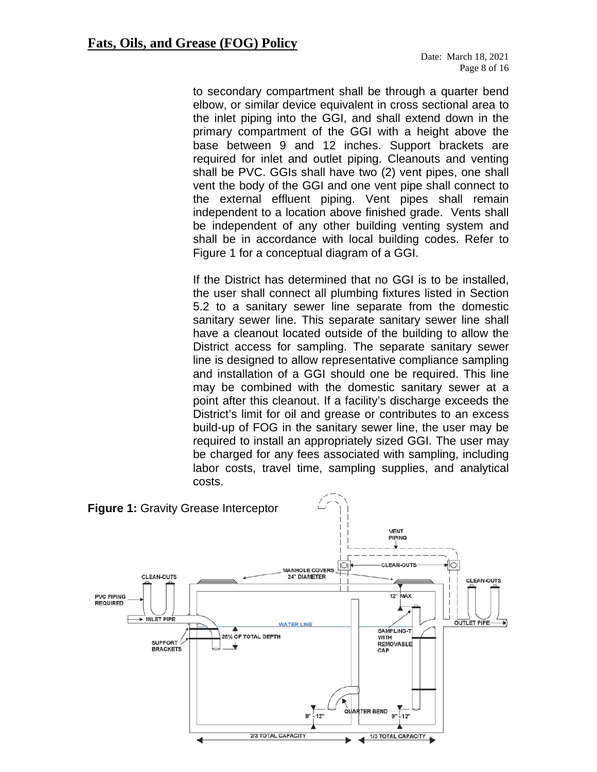to secondary compartment shall be through a quarter bend elbow, or similar device equivalent in cross sectional area to the inlet piping into the GGI, and shall extend down in the primary compartment of the GGI with a height above the base between 9 and 12 inches. Support brackets are required for inlet and outlet piping. Cleanouts and venting shall be PVC. GGIs shall have two (2) vent pipes, one shall vent the body of the GGI and one vent pipe shall connect to the external effluent piping. Vent pipes shall remain independent to a location above finished grade. Vents shall be independent of any other building venting system and shall be in accordance with local building codes. Refer to Figure 1 for a conceptual diagram of a GGI.

If the District has determined that no GGI is to be installed, the user shall connect all plumbing fixtures listed in Section 5.2 to a sanitary sewer line separate from the domestic sanitary sewer line. This separate sanitary sewer line shall have a cleanout located outside of the building to allow the District access for sampling. The separate sanitary sewer line is designed to allow representative compliance sampling and installation of a GGI should one be required. This line may be combined with the domestic sanitary sewer at a point after this cleanout. If a facility's discharge exceeds the District's limit for oil and grease or contributes to an excess build-up of FOG in the sanitary sewer line, the user may be required to install an appropriately sized GGI. The user may be charged for any fees associated with sampling, including labor costs, travel time, sampling supplies, and analytical costs.

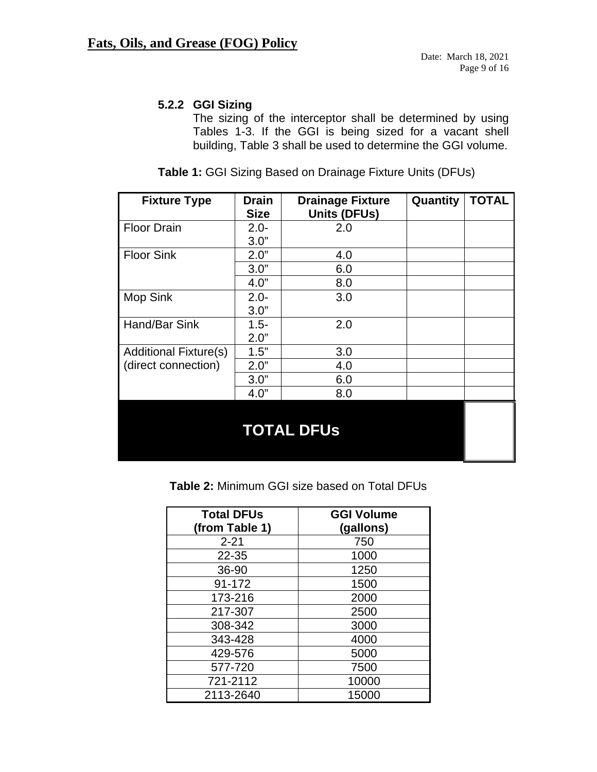## <span id="page-8-0"></span>**5.2.2 GGI Sizing**

The sizing of the interceptor shall be determined by using Tables 1-3. If the GGI is being sized for a vacant shell building, Table 3 shall be used to determine the GGI volume.

| <b>Fixture Type</b>          | <b>Drain</b><br><b>Size</b> | <b>Drainage Fixture</b><br><b>Units (DFUs)</b> | Quantity | <b>TOTAL</b> |  |
|------------------------------|-----------------------------|------------------------------------------------|----------|--------------|--|
| <b>Floor Drain</b>           | $2.0 -$                     | 2.0                                            |          |              |  |
|                              | 3.0"                        |                                                |          |              |  |
| <b>Floor Sink</b>            | 2.0"                        | 4.0                                            |          |              |  |
|                              | 3.0"                        | 6.0                                            |          |              |  |
|                              | 4.0"                        | 8.0                                            |          |              |  |
| <b>Mop Sink</b>              | $2.0 -$                     | 3.0                                            |          |              |  |
|                              | 3.0"                        |                                                |          |              |  |
| Hand/Bar Sink                | $1.5 -$                     | 2.0                                            |          |              |  |
|                              | 2.0"                        |                                                |          |              |  |
| <b>Additional Fixture(s)</b> | 1.5"                        | 3.0                                            |          |              |  |
| (direct connection)          | 2.0"                        | 4.0                                            |          |              |  |
|                              | 3.0"                        | 6.0                                            |          |              |  |
|                              | 4.0"                        | 8.0                                            |          |              |  |
| <b>TOTAL DFUS</b>            |                             |                                                |          |              |  |

**Table 1:** GGI Sizing Based on Drainage Fixture Units (DFUs)

|  | Table 2: Minimum GGI size based on Total DFUs |
|--|-----------------------------------------------|
|--|-----------------------------------------------|

| <b>Total DFUs</b> | <b>GGI Volume</b> |
|-------------------|-------------------|
| (from Table 1)    | (gallons)         |
| $2 - 21$          | 750               |
| 22-35             | 1000              |
| 36-90             | 1250              |
| 91-172            | 1500              |
| 173-216           | 2000              |
| 217-307           | 2500              |
| 308-342           | 3000              |
| 343-428           | 4000              |
| 429-576           | 5000              |
| 577-720           | 7500              |
| 721-2112          | 10000             |
| 2113-2640         | 15000             |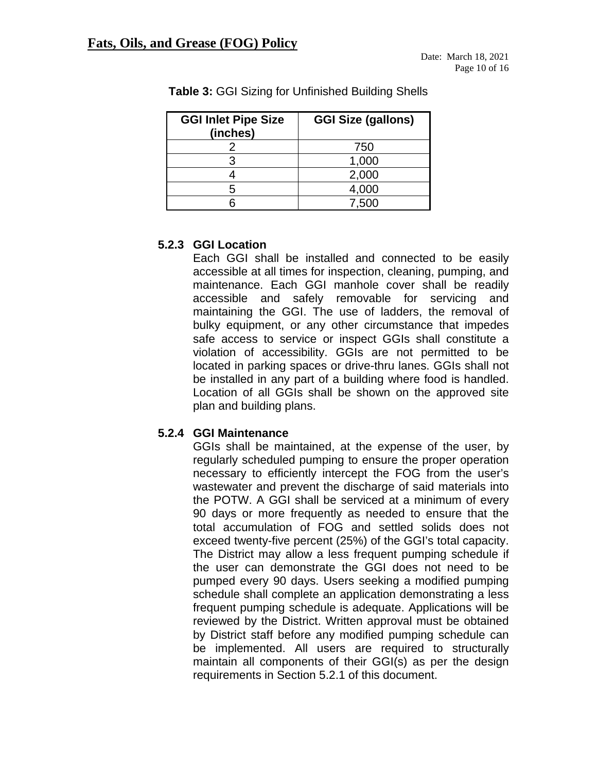| <b>GGI Inlet Pipe Size</b><br>(inches) | <b>GGI Size (gallons)</b> |
|----------------------------------------|---------------------------|
|                                        | 750                       |
|                                        | 1,000                     |
|                                        | 2,000                     |
| 5                                      | 4,000                     |
|                                        | 7.500                     |

**Table 3:** GGI Sizing for Unfinished Building Shells

## <span id="page-9-0"></span>**5.2.3 GGI Location**

Each GGI shall be installed and connected to be easily accessible at all times for inspection, cleaning, pumping, and maintenance. Each GGI manhole cover shall be readily accessible and safely removable for servicing and maintaining the GGI. The use of ladders, the removal of bulky equipment, or any other circumstance that impedes safe access to service or inspect GGIs shall constitute a violation of accessibility. GGIs are not permitted to be located in parking spaces or drive-thru lanes. GGIs shall not be installed in any part of a building where food is handled. Location of all GGIs shall be shown on the approved site plan and building plans.

## <span id="page-9-1"></span>**5.2.4 GGI Maintenance**

GGIs shall be maintained, at the expense of the user, by regularly scheduled pumping to ensure the proper operation necessary to efficiently intercept the FOG from the user's wastewater and prevent the discharge of said materials into the POTW. A GGI shall be serviced at a minimum of every 90 days or more frequently as needed to ensure that the total accumulation of FOG and settled solids does not exceed twenty-five percent (25%) of the GGI's total capacity. The District may allow a less frequent pumping schedule if the user can demonstrate the GGI does not need to be pumped every 90 days. Users seeking a modified pumping schedule shall complete an application demonstrating a less frequent pumping schedule is adequate. Applications will be reviewed by the District. Written approval must be obtained by District staff before any modified pumping schedule can be implemented. All users are required to structurally maintain all components of their GGI(s) as per the design requirements in Section 5.2.1 of this document.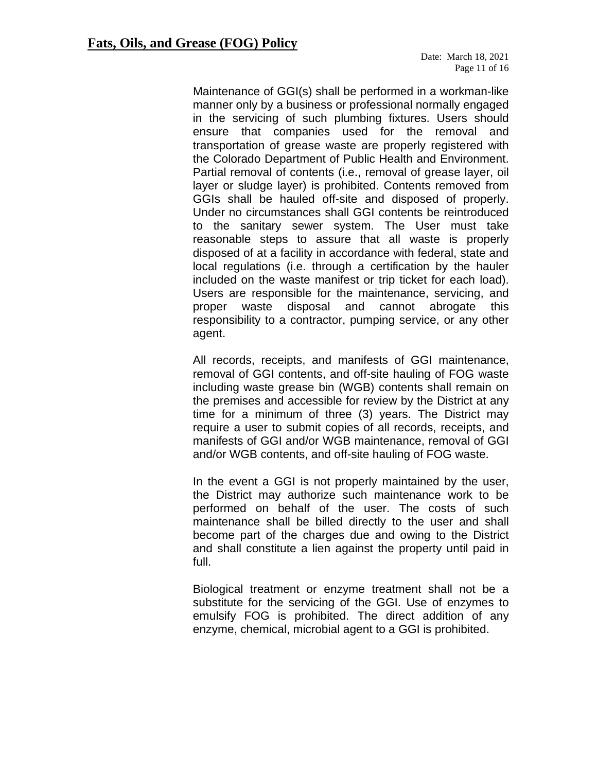Maintenance of GGI(s) shall be performed in a workman-like manner only by a business or professional normally engaged in the servicing of such plumbing fixtures. Users should ensure that companies used for the removal and transportation of grease waste are properly registered with the Colorado Department of Public Health and Environment. Partial removal of contents (i.e., removal of grease layer, oil layer or sludge layer) is prohibited. Contents removed from GGIs shall be hauled off-site and disposed of properly. Under no circumstances shall GGI contents be reintroduced to the sanitary sewer system. The User must take reasonable steps to assure that all waste is properly disposed of at a facility in accordance with federal, state and local regulations (i.e. through a certification by the hauler included on the waste manifest or trip ticket for each load). Users are responsible for the maintenance, servicing, and proper waste disposal and cannot abrogate this responsibility to a contractor, pumping service, or any other agent.

All records, receipts, and manifests of GGI maintenance, removal of GGI contents, and off-site hauling of FOG waste including waste grease bin (WGB) contents shall remain on the premises and accessible for review by the District at any time for a minimum of three (3) years. The District may require a user to submit copies of all records, receipts, and manifests of GGI and/or WGB maintenance, removal of GGI and/or WGB contents, and off-site hauling of FOG waste.

In the event a GGI is not properly maintained by the user, the District may authorize such maintenance work to be performed on behalf of the user. The costs of such maintenance shall be billed directly to the user and shall become part of the charges due and owing to the District and shall constitute a lien against the property until paid in full.

Biological treatment or enzyme treatment shall not be a substitute for the servicing of the GGI. Use of enzymes to emulsify FOG is prohibited. The direct addition of any enzyme, chemical, microbial agent to a GGI is prohibited.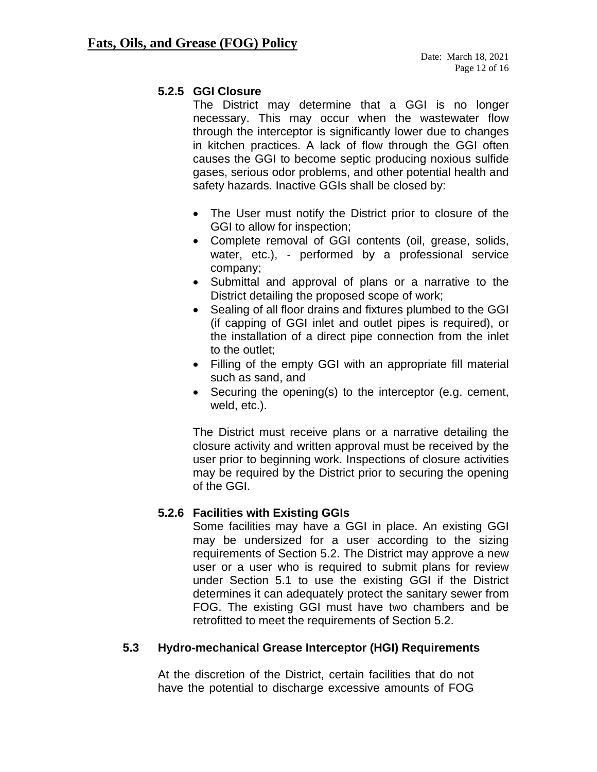#### <span id="page-11-0"></span>**5.2.5 GGI Closure**

The District may determine that a GGI is no longer necessary. This may occur when the wastewater flow through the interceptor is significantly lower due to changes in kitchen practices. A lack of flow through the GGI often causes the GGI to become septic producing noxious sulfide gases, serious odor problems, and other potential health and safety hazards. Inactive GGIs shall be closed by:

- The User must notify the District prior to closure of the GGI to allow for inspection;
- Complete removal of GGI contents (oil, grease, solids, water, etc.), - performed by a professional service company;
- Submittal and approval of plans or a narrative to the District detailing the proposed scope of work;
- Sealing of all floor drains and fixtures plumbed to the GGI (if capping of GGI inlet and outlet pipes is required), or the installation of a direct pipe connection from the inlet to the outlet;
- Filling of the empty GGI with an appropriate fill material such as sand, and
- Securing the opening(s) to the interceptor (e.g. cement, weld, etc.).

The District must receive plans or a narrative detailing the closure activity and written approval must be received by the user prior to beginning work. Inspections of closure activities may be required by the District prior to securing the opening of the GGI.

## <span id="page-11-1"></span>**5.2.6 Facilities with Existing GGIs**

Some facilities may have a GGI in place. An existing GGI may be undersized for a user according to the sizing requirements of Section 5.2. The District may approve a new user or a user who is required to submit plans for review under Section 5.1 to use the existing GGI if the District determines it can adequately protect the sanitary sewer from FOG. The existing GGI must have two chambers and be retrofitted to meet the requirements of Section 5.2.

## <span id="page-11-2"></span>**5.3 Hydro-mechanical Grease Interceptor (HGI) Requirements**

At the discretion of the District, certain facilities that do not have the potential to discharge excessive amounts of FOG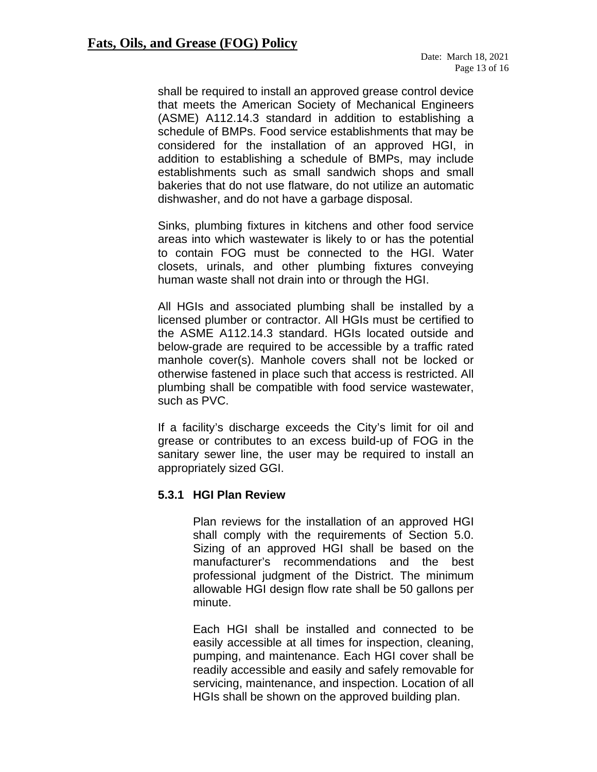shall be required to install an approved grease control device that meets the American Society of Mechanical Engineers (ASME) A112.14.3 standard in addition to establishing a schedule of BMPs. Food service establishments that may be considered for the installation of an approved HGI, in addition to establishing a schedule of BMPs, may include establishments such as small sandwich shops and small bakeries that do not use flatware, do not utilize an automatic dishwasher, and do not have a garbage disposal.

Sinks, plumbing fixtures in kitchens and other food service areas into which wastewater is likely to or has the potential to contain FOG must be connected to the HGI. Water closets, urinals, and other plumbing fixtures conveying human waste shall not drain into or through the HGI.

All HGIs and associated plumbing shall be installed by a licensed plumber or contractor. All HGIs must be certified to the ASME A112.14.3 standard. HGIs located outside and below-grade are required to be accessible by a traffic rated manhole cover(s). Manhole covers shall not be locked or otherwise fastened in place such that access is restricted. All plumbing shall be compatible with food service wastewater, such as PVC.

If a facility's discharge exceeds the City's limit for oil and grease or contributes to an excess build-up of FOG in the sanitary sewer line, the user may be required to install an appropriately sized GGI.

#### <span id="page-12-0"></span>**5.3.1 HGI Plan Review**

Plan reviews for the installation of an approved HGI shall comply with the requirements of Section 5.0. Sizing of an approved HGI shall be based on the manufacturer's recommendations and the best professional judgment of the District. The minimum allowable HGI design flow rate shall be 50 gallons per minute.

Each HGI shall be installed and connected to be easily accessible at all times for inspection, cleaning, pumping, and maintenance. Each HGI cover shall be readily accessible and easily and safely removable for servicing, maintenance, and inspection. Location of all HGIs shall be shown on the approved building plan.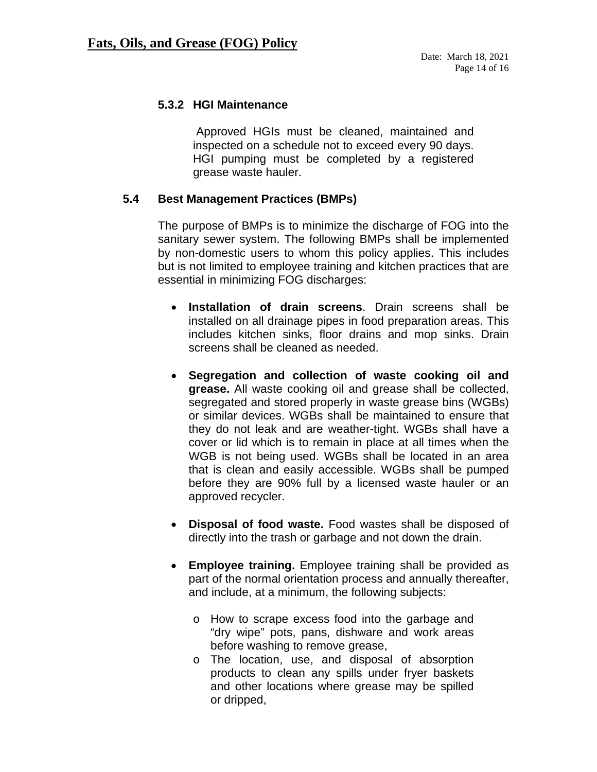#### <span id="page-13-0"></span>**5.3.2 HGI Maintenance**

 Approved HGIs must be cleaned, maintained and inspected on a schedule not to exceed every 90 days. HGI pumping must be completed by a registered grease waste hauler.

#### <span id="page-13-1"></span>**5.4 Best Management Practices (BMPs)**

The purpose of BMPs is to minimize the discharge of FOG into the sanitary sewer system. The following BMPs shall be implemented by non-domestic users to whom this policy applies. This includes but is not limited to employee training and kitchen practices that are essential in minimizing FOG discharges:

- **Installation of drain screens**. Drain screens shall be installed on all drainage pipes in food preparation areas. This includes kitchen sinks, floor drains and mop sinks. Drain screens shall be cleaned as needed.
- **Segregation and collection of waste cooking oil and grease.** All waste cooking oil and grease shall be collected, segregated and stored properly in waste grease bins (WGBs) or similar devices. WGBs shall be maintained to ensure that they do not leak and are weather-tight. WGBs shall have a cover or lid which is to remain in place at all times when the WGB is not being used. WGBs shall be located in an area that is clean and easily accessible. WGBs shall be pumped before they are 90% full by a licensed waste hauler or an approved recycler.
- **Disposal of food waste.** Food wastes shall be disposed of directly into the trash or garbage and not down the drain.
- **Employee training.** Employee training shall be provided as part of the normal orientation process and annually thereafter, and include, at a minimum, the following subjects:
	- o How to scrape excess food into the garbage and "dry wipe" pots, pans, dishware and work areas before washing to remove grease,
	- o The location, use, and disposal of absorption products to clean any spills under fryer baskets and other locations where grease may be spilled or dripped,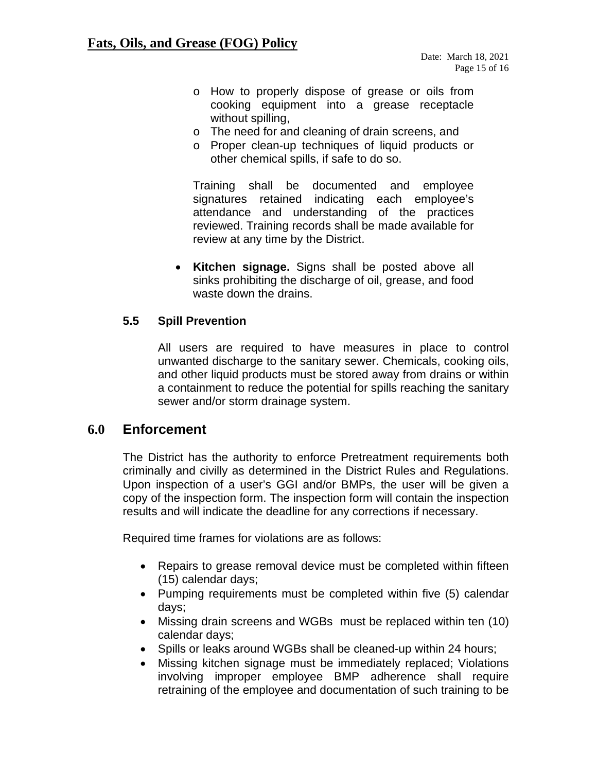- o How to properly dispose of grease or oils from cooking equipment into a grease receptacle without spilling,
- o The need for and cleaning of drain screens, and
- o Proper clean-up techniques of liquid products or other chemical spills, if safe to do so.

Training shall be documented and employee signatures retained indicating each employee's attendance and understanding of the practices reviewed. Training records shall be made available for review at any time by the District.

• **Kitchen signage.** Signs shall be posted above all sinks prohibiting the discharge of oil, grease, and food waste down the drains.

#### <span id="page-14-0"></span>**5.5 Spill Prevention**

All users are required to have measures in place to control unwanted discharge to the sanitary sewer. Chemicals, cooking oils, and other liquid products must be stored away from drains or within a containment to reduce the potential for spills reaching the sanitary sewer and/or storm drainage system.

## <span id="page-14-1"></span>**6.0 Enforcement**

The District has the authority to enforce Pretreatment requirements both criminally and civilly as determined in the District Rules and Regulations. Upon inspection of a user's GGI and/or BMPs, the user will be given a copy of the inspection form. The inspection form will contain the inspection results and will indicate the deadline for any corrections if necessary.

Required time frames for violations are as follows:

- Repairs to grease removal device must be completed within fifteen (15) calendar days;
- Pumping requirements must be completed within five (5) calendar days;
- Missing drain screens and WGBs must be replaced within ten (10) calendar days;
- Spills or leaks around WGBs shall be cleaned-up within 24 hours;
- Missing kitchen signage must be immediately replaced; Violations involving improper employee BMP adherence shall require retraining of the employee and documentation of such training to be